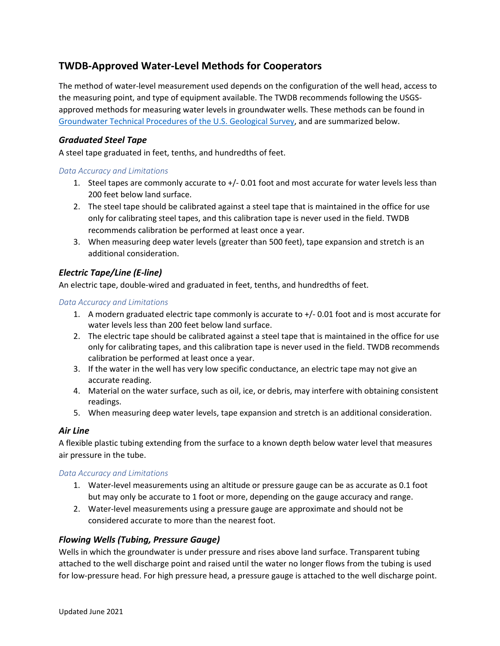# **TWDB-Approved Water-Level Methods for Cooperators**

The method of water-level measurement used depends on the configuration of the well head, access to the measuring point, and type of equipment available. The TWDB recommends following the USGSapproved methods for measuring water levels in groundwater wells. These methods can be found in [Groundwater Technical Procedures of the U.S. Geological Survey,](https://pubs.usgs.gov/tm/1a1/pdf/tm1-a1.pdf) and are summarized below.

# *Graduated Steel Tape*

A steel tape graduated in feet, tenths, and hundredths of feet.

### *Data Accuracy and Limitations*

- 1. Steel tapes are commonly accurate to +/- 0.01 foot and most accurate for water levels less than 200 feet below land surface.
- 2. The steel tape should be calibrated against a steel tape that is maintained in the office for use only for calibrating steel tapes, and this calibration tape is never used in the field. TWDB recommends calibration be performed at least once a year.
- 3. When measuring deep water levels (greater than 500 feet), tape expansion and stretch is an additional consideration.

# *Electric Tape/Line (E-line)*

An electric tape, double-wired and graduated in feet, tenths, and hundredths of feet.

### *Data Accuracy and Limitations*

- 1. A modern graduated electric tape commonly is accurate to +/- 0.01 foot and is most accurate for water levels less than 200 feet below land surface.
- 2. The electric tape should be calibrated against a steel tape that is maintained in the office for use only for calibrating tapes, and this calibration tape is never used in the field. TWDB recommends calibration be performed at least once a year.
- 3. If the water in the well has very low specific conductance, an electric tape may not give an accurate reading.
- 4. Material on the water surface, such as oil, ice, or debris, may interfere with obtaining consistent readings.
- 5. When measuring deep water levels, tape expansion and stretch is an additional consideration.

# *Air Line*

A flexible plastic tubing extending from the surface to a known depth below water level that measures air pressure in the tube.

### *Data Accuracy and Limitations*

- 1. Water-level measurements using an altitude or pressure gauge can be as accurate as 0.1 foot but may only be accurate to 1 foot or more, depending on the gauge accuracy and range.
- 2. Water-level measurements using a pressure gauge are approximate and should not be considered accurate to more than the nearest foot.

# *Flowing Wells (Tubing, Pressure Gauge)*

Wells in which the groundwater is under pressure and rises above land surface. Transparent tubing attached to the well discharge point and raised until the water no longer flows from the tubing is used for low-pressure head. For high pressure head, a pressure gauge is attached to the well discharge point.